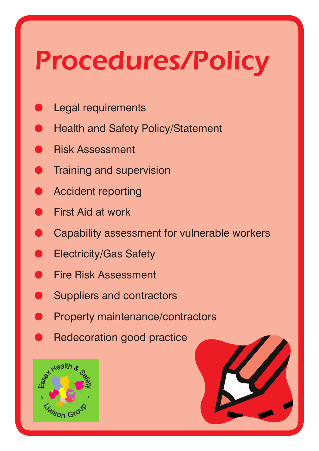# *Procedures/Policy*

- Legal requirements
- **Health and Safety Policy/Statement**
- **Risk Assessment**
- **Training and supervision**
- Accident reporting
- **First Aid at work**
- Capability assessment for vulnerable workers
- **Electricity/Gas Safety**
- **Fire Risk Assessment**
- **Suppliers and contractors**
- Property maintenance/contractors
- Redecoration good practice



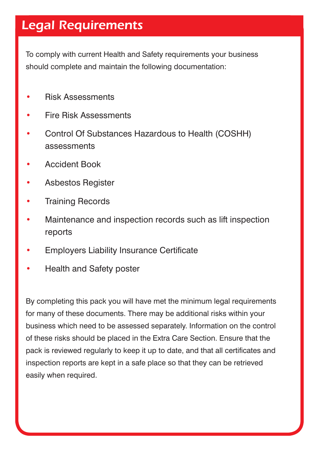#### *Legal Requirements*

To comply with current Health and Safety requirements your business should complete and maintain the following documentation:

- Risk Assessments
- Fire Risk Assessments
- Control Of Substances Hazardous to Health (COSHH) assessments
- Accident Book
- Asbestos Register
- Training Records
- Maintenance and inspection records such as lift inspection reports
- Employers Liability Insurance Certificate
- Health and Safety poster

By completing this pack you will have met the minimum legal requirements for many of these documents. There may be additional risks within your business which need to be assessed separately. Information on the control of these risks should be placed in the Extra Care Section. Ensure that the pack is reviewed regularly to keep it up to date, and that all certificates and inspection reports are kept in a safe place so that they can be retrieved easily when required.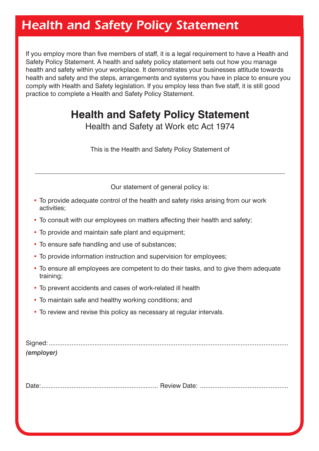#### *Health and Safety Policy Statement*

If you employ more than five members of staff, it is a legal requirement to have a Health and Safety Policy Statement. A health and safety policy statement sets out how you manage health and safety within your workplace. It demonstrates your businesses attitude towards health and safety and the steps, arrangements and systems you have in place to ensure you comply with Health and Safety legislation. If you employ less than five staff, it is still good practice to complete a Health and Safety Policy Statement.

#### **Health and Safety Policy Statement**

Health and Safety at Work etc Act 1974

This is the Health and Safety Policy Statement of

Our statement of general policy is:

- To provide adequate control of the health and safety risks arising from our work activities;
- To consult with our employees on matters affecting their health and safety; •
- To provide and maintain safe plant and equipment;
- To ensure safe handling and use of substances;
- To provide information instruction and supervision for employees;
- To ensure all employees are competent to do their tasks, and to give them adequate training;
- To prevent accidents and cases of work-related ill health •
- To maintain safe and healthy working conditions; and •
- To review and revise this policy as necessary at regular intervals.

| (employer) |  |
|------------|--|

Date:.................................................................. Review Date: ..................................................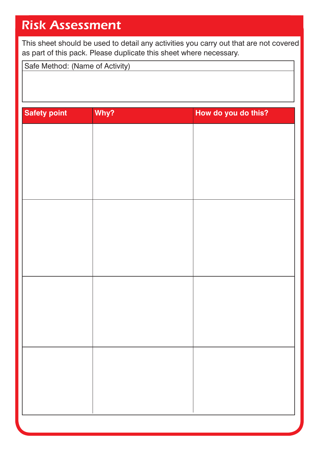#### *Risk Assessment*

This sheet should be used to detail any activities you carry out that are not covered as part of this pack. Please duplicate this sheet where necessary.

Safe Method: (Name of Activity)

| <b>Safety point</b> | Why? | How do you do this? |
|---------------------|------|---------------------|
|                     |      |                     |
|                     |      |                     |
|                     |      |                     |
|                     |      |                     |
|                     |      |                     |
|                     |      |                     |
|                     |      |                     |
|                     |      |                     |
|                     |      |                     |
|                     |      |                     |
|                     |      |                     |
|                     |      |                     |
|                     |      |                     |
|                     |      |                     |
|                     |      |                     |
|                     |      |                     |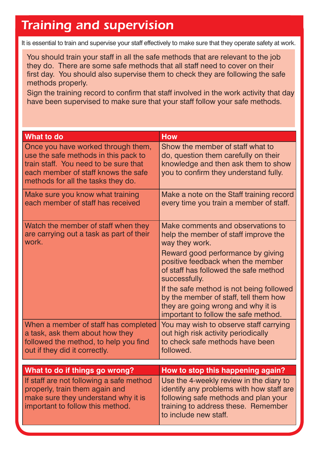#### *Training and supervision*

It is essential to train and supervise your staff effectively to make sure that they operate safety at work.

You should train your staff in all the safe methods that are relevant to the job they do. There are some safe methods that all staff need to cover on their first day. You should also supervise them to check they are following the safe methods properly.

Sign the training record to confirm that staff involved in the work activity that day have been supervised to make sure that your staff follow your safe methods.

| <b>What to do</b>                                                                                                                                                                                | <b>How</b>                                                                                                                                                                                                                                                                                                                                                                                         |
|--------------------------------------------------------------------------------------------------------------------------------------------------------------------------------------------------|----------------------------------------------------------------------------------------------------------------------------------------------------------------------------------------------------------------------------------------------------------------------------------------------------------------------------------------------------------------------------------------------------|
| Once you have worked through them,<br>use the safe methods in this pack to<br>train staff. You need to be sure that<br>each member of staff knows the safe<br>methods for all the tasks they do. | Show the member of staff what to<br>do, question them carefully on their<br>knowledge and then ask them to show<br>you to confirm they understand fully.                                                                                                                                                                                                                                           |
| Make sure you know what training<br>each member of staff has received                                                                                                                            | Make a note on the Staff training record<br>every time you train a member of staff.                                                                                                                                                                                                                                                                                                                |
| Watch the member of staff when they<br>are carrying out a task as part of their<br>work.                                                                                                         | Make comments and observations to<br>help the member of staff improve the<br>way they work.<br>Reward good performance by giving<br>positive feedback when the member<br>of staff has followed the safe method<br>successfully.<br>If the safe method is not being followed<br>by the member of staff, tell them how<br>they are going wrong and why it is<br>important to follow the safe method. |
| When a member of staff has completed<br>a task, ask them about how they<br>followed the method, to help you find<br>out if they did it correctly.                                                | You may wish to observe staff carrying<br>out high risk activity periodically<br>to check safe methods have been<br>followed.                                                                                                                                                                                                                                                                      |
|                                                                                                                                                                                                  |                                                                                                                                                                                                                                                                                                                                                                                                    |
| What to do if things go wrong?<br>If staff are not following a safe method<br>properly, train them again and<br>make sure they understand why it is<br>important to follow this method.          | How to stop this happening again?<br>Use the 4-weekly review in the diary to<br>identify any problems with how staff are<br>following safe methods and plan your<br>training to address these. Remember<br>to include new staff.                                                                                                                                                                   |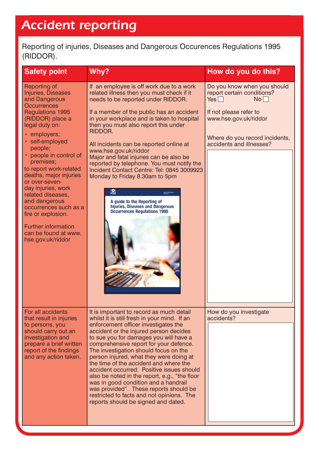### *Accident reporting*

Reporting of injuries, Diseases and Dangerous Occurences Regulations 1995 (RIDDOR).

| <b>Safety point</b>                                                                                                                                                                                                                                                                                                                                                                                                                                                                       | Why?                                                                                                                                                                                                                                                                                                                                                                                                                                                                                                                                                                                                                                                                                | How do you do this?                                                                                                                                                                            |
|-------------------------------------------------------------------------------------------------------------------------------------------------------------------------------------------------------------------------------------------------------------------------------------------------------------------------------------------------------------------------------------------------------------------------------------------------------------------------------------------|-------------------------------------------------------------------------------------------------------------------------------------------------------------------------------------------------------------------------------------------------------------------------------------------------------------------------------------------------------------------------------------------------------------------------------------------------------------------------------------------------------------------------------------------------------------------------------------------------------------------------------------------------------------------------------------|------------------------------------------------------------------------------------------------------------------------------------------------------------------------------------------------|
| Reporting of<br>Injuries, Diseases<br>and Dangerous<br><b>Occurrences</b><br><b>Regulations 1995</b><br>(RIDDOR) place a<br>legal duty on:<br>• employers;<br>self-employed<br>people;<br>• people in control of<br>premises;<br>to report work-related<br>deaths, major injuries<br>or over-seven-<br>day injuries, work<br>related diseases,<br>and dangerous<br>occurrences such as a<br>fire or explosion.<br><b>Further information</b><br>can be found at www.<br>hse.gov.uk/riddor | If an employee is off work due to a work<br>related illness then you must check if it<br>needs to be reported under RIDDOR.<br>If a member of the public has an accident<br>in your workplace and is taken to hospital<br>then you must also report this under<br>RIDDOR.<br>All incidents can be reported online at<br>www.hse.gov.uk/riddor<br>Major and fatal injuries can be also be<br>reported by telephone. You must notify the<br>Incident Contact Centre: Tel: 0845 3009923<br>Monday to Friday 8.30am to 5pm<br>譱<br><b>Health and Gafe</b><br>Executive<br>A guide to the Reporting of<br><b>Injuries, Diseases and Dangerous</b><br><b>Occurrences Regulations 1995</b> | Do you know when you should<br>report certain conditions?<br>$Yes \Box$<br>No<br>If not please refer to<br>www.hse.gov.uk/riddor<br>Where do you record incidents,<br>accidents and illnesses? |
| For all accidents<br>that result in injuries<br>to persons, you<br>should carry out an<br>investigation and<br>prepare a brief written<br>report of the findings<br>and any action taken.                                                                                                                                                                                                                                                                                                 | It is important to record as much detail<br>whilst it is still fresh in your mind. If an<br>enforcement officer investigates the<br>accident or the injured person decides<br>to sue you for damages you will have a<br>comprehensive report for your defence.<br>The investigation should focus on the<br>person injured, what they were doing at<br>the time of the accident and where the<br>accident occurred. Positive issues should<br>also be noted in the report, e.g., "the floor<br>was in good condition and a handrail<br>was provided". These reports should be<br>restricted to facts and not opinions. The<br>reports should be signed and dated.                    | How do you investigate<br>accidents?                                                                                                                                                           |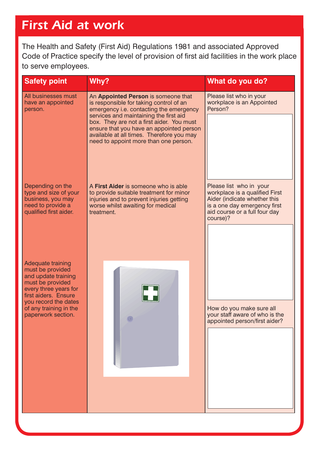#### *First Aid at work*

The Health and Safety (First Aid) Regulations 1981 and associated Approved Code of Practice specify the level of provision of first aid facilities in the work place to serve employees.

| <b>Safety point</b>                                                                                                                                              | Why?                                                                                                                                                                           | What do you do?                                                                                                                                                        |
|------------------------------------------------------------------------------------------------------------------------------------------------------------------|--------------------------------------------------------------------------------------------------------------------------------------------------------------------------------|------------------------------------------------------------------------------------------------------------------------------------------------------------------------|
| All businesses must<br>have an appointed<br>person.                                                                                                              | An Appointed Person is someone that<br>is responsible for taking control of an<br>emergency i.e. contacting the emergency<br>services and maintaining the first aid            | Please list who in your<br>workplace is an Appointed<br>Person?                                                                                                        |
|                                                                                                                                                                  | box. They are not a first aider. You must<br>ensure that you have an appointed person<br>available at all times. Therefore you may<br>need to appoint more than one person.    |                                                                                                                                                                        |
| Depending on the<br>type and size of your<br>business, you may<br>need to provide a<br>qualified first aider.                                                    | A First Aider is someone who is able<br>to provide suitable treatment for minor<br>injuries and to prevent injuries getting<br>worse whilst awaiting for medical<br>treatment. | Please list who in your<br>workplace is a qualified First<br>Aider (indicate whether this<br>is a one day emergency first<br>aid course or a full four day<br>course)? |
|                                                                                                                                                                  |                                                                                                                                                                                |                                                                                                                                                                        |
| <b>Adequate training</b><br>must be provided<br>and update training<br>must be provided<br>every three years for<br>first aiders. Ensure<br>you record the dates |                                                                                                                                                                                |                                                                                                                                                                        |
| of any training in the<br>paperwork section.                                                                                                                     | $\bigcirc$                                                                                                                                                                     | How do you make sure all<br>your staff aware of who is the<br>appointed person/first aider?                                                                            |
|                                                                                                                                                                  |                                                                                                                                                                                |                                                                                                                                                                        |
|                                                                                                                                                                  |                                                                                                                                                                                |                                                                                                                                                                        |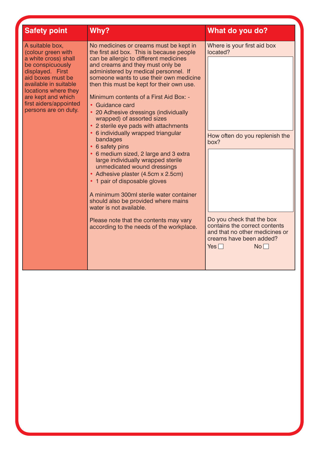| <b>Safety point</b>                                                                                                                                                                                                                                 | Why?                                                                                                                                                                                                                                                                                                                                                                                                                                                                                                                                                                                                                                                                                                                                                                                                                                                                                                                                          | What do you do?                                                                                                                                                                                                             |
|-----------------------------------------------------------------------------------------------------------------------------------------------------------------------------------------------------------------------------------------------------|-----------------------------------------------------------------------------------------------------------------------------------------------------------------------------------------------------------------------------------------------------------------------------------------------------------------------------------------------------------------------------------------------------------------------------------------------------------------------------------------------------------------------------------------------------------------------------------------------------------------------------------------------------------------------------------------------------------------------------------------------------------------------------------------------------------------------------------------------------------------------------------------------------------------------------------------------|-----------------------------------------------------------------------------------------------------------------------------------------------------------------------------------------------------------------------------|
| A suitable box,<br>(colour green with<br>a white cross) shall<br>be conspicuously<br>displayed. First<br>aid boxes must be<br>available in suitable<br>locations where they<br>are kept and which<br>first aiders/appointed<br>persons are on duty. | No medicines or creams must be kept in<br>the first aid box. This is because people<br>can be allergic to different medicines<br>and creams and they must only be<br>administered by medical personnel. If<br>someone wants to use their own medicine<br>then this must be kept for their own use.<br>Minimum contents of a First Aid Box: -<br>• Guidance card<br>• 20 Adhesive dressings (individually<br>wrapped) of assorted sizes<br>• 2 sterile eye pads with attachments<br>• 6 individually wrapped triangular<br>bandages<br>• 6 safety pins<br>• 6 medium sized, 2 large and 3 extra<br>large individually wrapped sterile<br>unmedicated wound dressings<br>• Adhesive plaster (4.5cm x 2.5cm)<br>• 1 pair of disposable gloves<br>A minimum 300ml sterile water container<br>should also be provided where mains<br>water is not available.<br>Please note that the contents may vary<br>according to the needs of the workplace. | Where is your first aid box<br>located?<br>How often do you replenish the<br>box?<br>Do you check that the box<br>contains the correct contents<br>and that no other medicines or<br>creams have been added?<br>Yes<br>$No$ |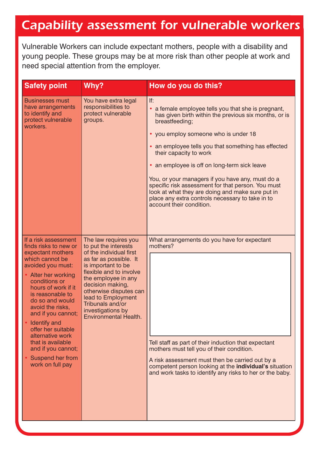#### *Capability assessment for vulnerable workers*

Vulnerable Workers can include expectant mothers, people with a disability and young people. These groups may be at more risk than other people at work and need special attention from the employer.

| <b>Safety point</b>                                                                                                                                                                                                                                                                                                                                                                                   | Why?                                                                                                                                                                                                                                                                                                            | How do you do this?                                                                                                                                                                                                                                                                                                                                                                                                                                                                                                                                      |
|-------------------------------------------------------------------------------------------------------------------------------------------------------------------------------------------------------------------------------------------------------------------------------------------------------------------------------------------------------------------------------------------------------|-----------------------------------------------------------------------------------------------------------------------------------------------------------------------------------------------------------------------------------------------------------------------------------------------------------------|----------------------------------------------------------------------------------------------------------------------------------------------------------------------------------------------------------------------------------------------------------------------------------------------------------------------------------------------------------------------------------------------------------------------------------------------------------------------------------------------------------------------------------------------------------|
| <b>Businesses must</b><br>have arrangements<br>to identify and<br>protect vulnerable<br>workers.                                                                                                                                                                                                                                                                                                      | You have extra legal<br>responsibilities to<br>protect vulnerable<br>groups.                                                                                                                                                                                                                                    | If:<br>a female employee tells you that she is pregnant,<br>has given birth within the previous six months, or is<br>breastfeeding;<br>• you employ someone who is under 18<br>an employee tells you that something has effected<br>their capacity to work<br>• an employee is off on long-term sick leave<br>You, or your managers if you have any, must do a<br>specific risk assessment for that person. You must<br>look at what they are doing and make sure put in<br>place any extra controls necessary to take in to<br>account their condition. |
| If a risk assessment<br>finds risks to new or<br>expectant mothers<br>which cannot be<br>avoided you must:<br>Alter her working<br>conditions or<br>hours of work if it<br>is reasonable to<br>do so and would<br>avoid the risks,<br>and if you cannot;<br>Identify and<br>offer her suitable<br>alternative work<br>that is available<br>and if you cannot;<br>Suspend her from<br>work on full pay | The law requires you<br>to put the interests<br>of the individual first<br>as far as possible. It<br>is important to be<br>flexible and to involve<br>the employee in any<br>decision making,<br>otherwise disputes can<br>lead to Employment<br>Tribunals and/or<br>investigations by<br>Environmental Health. | What arrangements do you have for expectant<br>mothers?<br>Tell staff as part of their induction that expectant<br>mothers must tell you of their condition.<br>A risk assessment must then be carried out by a<br>competent person looking at the individual's situation<br>and work tasks to identify any risks to her or the baby.                                                                                                                                                                                                                    |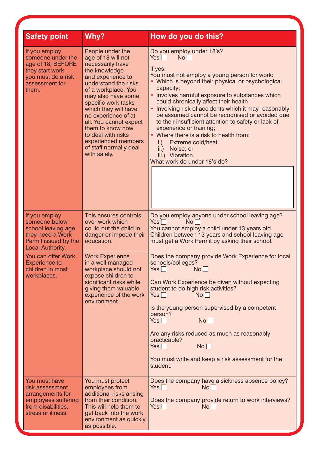| <b>Safety point</b>                                                                                                          | Why?                                                                                                                                                                                                                                                                                                                                                                             | How do you do this?                                                                                                                                                                                                                                                                                                                                                                                                                                                                                                                                                                                                             |
|------------------------------------------------------------------------------------------------------------------------------|----------------------------------------------------------------------------------------------------------------------------------------------------------------------------------------------------------------------------------------------------------------------------------------------------------------------------------------------------------------------------------|---------------------------------------------------------------------------------------------------------------------------------------------------------------------------------------------------------------------------------------------------------------------------------------------------------------------------------------------------------------------------------------------------------------------------------------------------------------------------------------------------------------------------------------------------------------------------------------------------------------------------------|
| If you employ<br>someone under the<br>age of 18, BEFORE<br>they start work,<br>you must do a risk<br>assessment for<br>them. | People under the<br>age of 18 will not<br>necessarily have<br>the knowledge<br>and experience to<br>understand the risks<br>of a workplace. You<br>may also have some<br>specific work tasks<br>which they will have<br>no experience of at<br>all. You cannot expect<br>them to know how<br>to deal with risks<br>experienced members<br>of staff normally deal<br>with safely. | Do you employ under 18's?<br>No<br>$Yes \Box$<br>If yes:<br>You must not employ a young person for work:<br>• Which is beyond their physical or psychological<br>capacity;<br>• Involves harmful exposure to substances which<br>could chronically affect their health<br>• Involving risk of accidents which it may reasonably<br>be assumed cannot be recognised or avoided due<br>to their insufficient attention to safety or lack of<br>experience or training;<br>• Where there is a risk to health from:<br>Extreme cold/heat<br>i.)<br>Noise; or<br>$\mathsf{ii}$ .)<br>iii.) Vibration.<br>What work do under 18's do? |
| If you employ<br>someone below<br>school leaving age<br>they need a Work<br>Permit issued by the<br>Local Authority.         | This ensures controls<br>over work which<br>could put the child in<br>danger or impede their<br>education.                                                                                                                                                                                                                                                                       | Do you employ anyone under school leaving age?<br>Yes $\Box$<br>No <sub>1</sub><br>You cannot employ a child under 13 years old.<br>Children between 13 years and school leaving age<br>must get a Work Permit by asking their school.                                                                                                                                                                                                                                                                                                                                                                                          |
| You can offer Work<br><b>Experience to</b><br>children in most<br>workplaces.                                                | <b>Work Experience</b><br>in a well managed<br>workplace should not<br>expose children to<br>significant risks while<br>giving them valuable<br>experience of the work<br>environment.                                                                                                                                                                                           | Does the company provide Work Experience for local<br>schools/colleges?<br>No <sub>1</sub><br>Yes<br>Can Work Experience be given without expecting<br>student to do high risk activities?<br>Yes $\Box$<br>No <sub>1</sub><br>Is the young person supervised by a competent<br>person?<br>No<br>Yes $\Box$<br>Are any risks reduced as much as reasonably<br>practicable?<br>Yes $\Box$<br>No<br>You must write and keep a risk assessment for the<br>student.                                                                                                                                                                 |
| You must have<br>risk assessment<br>arrangements for<br>employees suffering<br>from disabilities,<br>stress or illness.      | You must protect<br>employees from<br>additional risks arising<br>from their condition.<br>This will help them to<br>get back into the work<br>environment as quickly<br>as possible.                                                                                                                                                                                            | Does the company have a sickness absence policy?<br>Yes $\Box$<br>No<br>Does the company provide return to work interviews?<br>Yes $\Box$<br>No                                                                                                                                                                                                                                                                                                                                                                                                                                                                                 |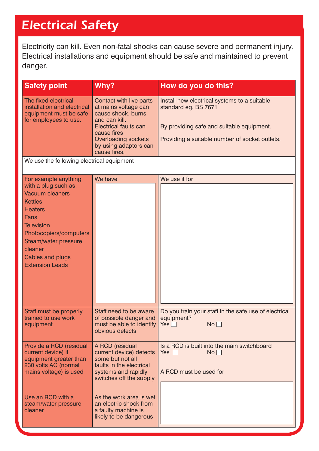#### *Electrical Safety*

Electricity can kill. Even non-fatal shocks can cause severe and permanent injury. Electrical installations and equipment should be safe and maintained to prevent danger.

| <b>Safety point</b>                                                                                                                                                                                                                                | Why?                                                                                                                                                                                                         | How do you do this?                                                                                                                                                 |
|----------------------------------------------------------------------------------------------------------------------------------------------------------------------------------------------------------------------------------------------------|--------------------------------------------------------------------------------------------------------------------------------------------------------------------------------------------------------------|---------------------------------------------------------------------------------------------------------------------------------------------------------------------|
| The fixed electrical<br>installation and electrical<br>equipment must be safe<br>for employees to use.                                                                                                                                             | Contact with live parts<br>at mains voltage can<br>cause shock, burns<br>and can kill.<br><b>Electrical faults can</b><br>cause fires<br><b>Overloading sockets</b><br>by using adaptors can<br>cause fires. | Install new electrical systems to a suitable<br>standard eg. BS 7671<br>By providing safe and suitable equipment.<br>Providing a suitable number of socket outlets. |
| We use the following electrical equipment                                                                                                                                                                                                          |                                                                                                                                                                                                              |                                                                                                                                                                     |
| For example anything<br>with a plug such as:<br><b>Vacuum cleaners</b><br><b>Kettles</b><br><b>Heaters</b><br>Fans<br><b>Television</b><br>Photocopiers/computers<br>Steam/water pressure<br>cleaner<br>Cables and plugs<br><b>Extension Leads</b> | We have                                                                                                                                                                                                      | We use it for                                                                                                                                                       |
| Staff must be properly<br>trained to use work<br>equipment                                                                                                                                                                                         | Staff need to be aware<br>of possible danger and<br>must be able to identify   Yes<br>obvious defects                                                                                                        | Do you train your staff in the safe use of electrical<br>equipment?<br>No                                                                                           |
| Provide a RCD (residual<br>current device) if<br>equipment greater than<br>230 volts AC (normal<br>mains voltage) is used                                                                                                                          | A RCD (residual<br>current device) detects<br>some but not all<br>faults in the electrical<br>systems and rapidly<br>switches off the supply                                                                 | Is a RCD is built into the main switchboard<br>No <sub>1</sub><br>Yes $\Box$<br>A RCD must be used for                                                              |
| Use an RCD with a<br>steam/water pressure<br>cleaner                                                                                                                                                                                               | As the work area is wet<br>an electric shock from<br>a faulty machine is<br>likely to be dangerous                                                                                                           |                                                                                                                                                                     |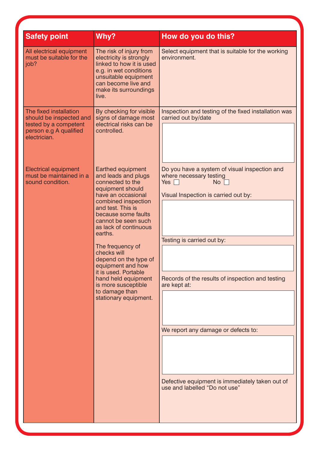| The risk of injury from<br>electricity is strongly<br>linked to how it is used<br>e.g. in wet conditions                                                                                                                                                                                                                                                                                                                    | Select equipment that is suitable for the working<br>environment.                                                                                                                                                                                                                                                                                                 |
|-----------------------------------------------------------------------------------------------------------------------------------------------------------------------------------------------------------------------------------------------------------------------------------------------------------------------------------------------------------------------------------------------------------------------------|-------------------------------------------------------------------------------------------------------------------------------------------------------------------------------------------------------------------------------------------------------------------------------------------------------------------------------------------------------------------|
| unsuitable equipment<br>can become live and<br>make its surroundings                                                                                                                                                                                                                                                                                                                                                        |                                                                                                                                                                                                                                                                                                                                                                   |
| By checking for visible<br>signs of damage most<br>electrical risks can be<br>controlled.                                                                                                                                                                                                                                                                                                                                   | Inspection and testing of the fixed installation was<br>carried out by/date                                                                                                                                                                                                                                                                                       |
| Earthed equipment<br>and leads and plugs<br>connected to the<br>equipment should<br>have an occasional<br>combined inspection<br>and test. This is<br>because some faults<br>cannot be seen such<br>as lack of continuous<br>The frequency of<br>checks will<br>depend on the type of<br>equipment and how<br>it is used. Portable<br>hand held equipment<br>is more susceptible<br>to damage than<br>stationary equipment. | Do you have a system of visual inspection and<br>where necessary testing<br>Yes $\Box$<br>No<br>Visual Inspection is carried out by:<br>Testing is carried out by:<br>Records of the results of inspection and testing<br>are kept at:<br>We report any damage or defects to:<br>Defective equipment is immediately taken out of<br>use and labelled "Do not use" |
|                                                                                                                                                                                                                                                                                                                                                                                                                             |                                                                                                                                                                                                                                                                                                                                                                   |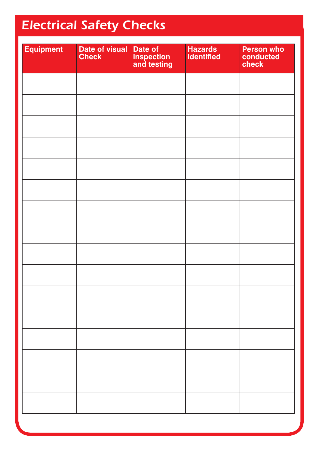## *Electrical Safety Checks*

| <b>Equipment</b> | Date of visual<br><b>Check</b> | Date of<br>inspection<br>and testing | Hazards<br>identified | <b>Person who</b><br>conducted<br>check |
|------------------|--------------------------------|--------------------------------------|-----------------------|-----------------------------------------|
|                  |                                |                                      |                       |                                         |
|                  |                                |                                      |                       |                                         |
|                  |                                |                                      |                       |                                         |
|                  |                                |                                      |                       |                                         |
|                  |                                |                                      |                       |                                         |
|                  |                                |                                      |                       |                                         |
|                  |                                |                                      |                       |                                         |
|                  |                                |                                      |                       |                                         |
|                  |                                |                                      |                       |                                         |
|                  |                                |                                      |                       |                                         |
|                  |                                |                                      |                       |                                         |
|                  |                                |                                      |                       |                                         |
|                  |                                |                                      |                       |                                         |
|                  |                                |                                      |                       |                                         |
|                  |                                |                                      |                       |                                         |
|                  |                                |                                      |                       |                                         |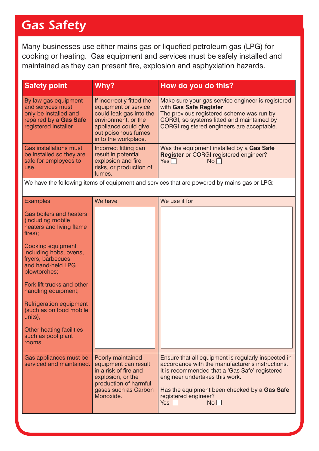#### *Gas Safety*

Many businesses use either mains gas or liquefied petroleum gas (LPG) for cooking or heating. Gas equipment and services must be safely installed and maintained as they can present fire, explosion and asphyxiation hazards.

| <b>Safety point</b>                                                                                                                                                                                                                                                                                                                                                                                | Why?                                                                                                                                                                       | How do you do this?                                                                                                                                                                                                                                                                     |
|----------------------------------------------------------------------------------------------------------------------------------------------------------------------------------------------------------------------------------------------------------------------------------------------------------------------------------------------------------------------------------------------------|----------------------------------------------------------------------------------------------------------------------------------------------------------------------------|-----------------------------------------------------------------------------------------------------------------------------------------------------------------------------------------------------------------------------------------------------------------------------------------|
| By law gas equipment<br>and services must<br>only be installed and<br>repaired by a Gas Safe<br>registered installer.                                                                                                                                                                                                                                                                              | If incorrectly fitted the<br>equipment or service<br>could leak gas into the<br>environment, or the<br>appliance could give<br>out poisonous fumes<br>in to the workplace. | Make sure your gas service engineer is registered<br>with Gas Safe Register<br>The previous registered scheme was run by<br>CORGI, so systems fitted and maintained by<br>CORGI registered engineers are acceptable.                                                                    |
| <b>Gas installations must</b><br>be installed so they are<br>safe for employees to<br>use.                                                                                                                                                                                                                                                                                                         | Incorrect fitting can<br>result in potential<br>explosion and fire<br>risks, or production of<br>fumes.                                                                    | Was the equipment installed by a Gas Safe<br><b>Register</b> or CORGI registered engineer?<br>Yes<br>No                                                                                                                                                                                 |
|                                                                                                                                                                                                                                                                                                                                                                                                    |                                                                                                                                                                            | We have the following items of equipment and services that are powered by mains gas or LPG:                                                                                                                                                                                             |
| <b>Examples</b>                                                                                                                                                                                                                                                                                                                                                                                    | We have                                                                                                                                                                    | We use it for                                                                                                                                                                                                                                                                           |
| <b>Gas boilers and heaters</b><br>(including mobile<br>heaters and living flame<br>fires);<br><b>Cooking equipment</b><br>including hobs, ovens,<br>fryers, barbecues<br>and hand-held LPG<br>blowtorches;<br>Fork lift trucks and other<br>handling equipment;<br><b>Refrigeration equipment</b><br>(such as on food mobile<br>units),<br>Other heating facilities<br>such as pool plant<br>rooms |                                                                                                                                                                            |                                                                                                                                                                                                                                                                                         |
| Gas appliances must be<br>serviced and maintained.                                                                                                                                                                                                                                                                                                                                                 | Poorly maintained<br>equipment can result<br>in a risk of fire and<br>explosion, or the<br>production of harmful<br>gases such as Carbon<br>Monoxide.                      | Ensure that all equipment is regularly inspected in<br>accordance with the manufacturer's instructions.<br>It is recommended that a 'Gas Safe' registered<br>engineer undertakes this work.<br>Has the equipment been checked by a Gas Safe<br>registered engineer?<br>$Yes \Box$<br>No |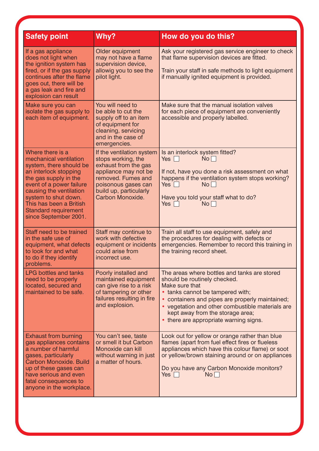| <b>Safety point</b>                                                                                                                                                                                                                                                                       | Why?                                                                                                                                                                                       | How do you do this?                                                                                                                                                                                                                                                                                                   |
|-------------------------------------------------------------------------------------------------------------------------------------------------------------------------------------------------------------------------------------------------------------------------------------------|--------------------------------------------------------------------------------------------------------------------------------------------------------------------------------------------|-----------------------------------------------------------------------------------------------------------------------------------------------------------------------------------------------------------------------------------------------------------------------------------------------------------------------|
| If a gas appliance<br>does not light when<br>the ignition system has<br>fired, or if the gas supply<br>continues after the flame<br>goes out, there will be<br>a gas leak and fire and<br>explosion can result                                                                            | Older equipment<br>may not have a flame<br>supervision device,<br>allowig you to see the<br>pilot light.                                                                                   | Ask your registered gas service engineer to check<br>that flame supervision devices are fitted.<br>Train your staff in safe methods to light equipment<br>if manually ignited equipment is provided.                                                                                                                  |
| Make sure you can<br>isolate the gas supply to<br>each item of equipment.                                                                                                                                                                                                                 | You will need to<br>be able to cut the<br>supply off to an item<br>of equipment for<br>cleaning, servicing<br>and in the case of<br>emergencies.                                           | Make sure that the manual isolation valves<br>for each piece of equipment are conveniently<br>accessible and properly labelled.                                                                                                                                                                                       |
| Where there is a<br>mechanical ventilation<br>system, there should be<br>an interlock stopping<br>the gas supply in the<br>event of a power failure<br>causing the ventilation<br>system to shut down.<br>This has been a British<br><b>Standard requirement</b><br>since September 2001. | If the ventilation system<br>stops working, the<br>exhaust from the gas<br>appliance may not be<br>removed. Fumes and<br>poisonous gases can<br>build up, particularly<br>Carbon Monoxide. | Is an interlock system fitted?<br>Yes $\Box$<br>No <sub>1</sub><br>If not, have you done a risk assessment on what<br>happens if the ventilation system stops working?<br>Yes $\Box$<br>No <sub>1</sub><br>Have you told your staff what to do?<br>Yes $\Box$<br>No <sub>1</sub>                                      |
| Staff need to be trained<br>in the safe use of<br>equipment, what defects<br>to look for and what<br>to do if they identify<br>problems.                                                                                                                                                  | Staff may continue to<br>work with defective<br>equipment or incidents<br>could arise from<br>incorrect use.                                                                               | Train all staff to use equipment, safely and<br>the procedures for dealing with defects or<br>emergencies. Remember to record this training in<br>the training record sheet.                                                                                                                                          |
| <b>LPG bottles and tanks</b><br>need to be properly<br>located, secured and<br>maintained to be safe.                                                                                                                                                                                     | Poorly installed and<br>maintained equipment<br>can give rise to a risk<br>of tampering or other<br>failures resulting in fire<br>and explosion.                                           | The areas where bottles and tanks are stored<br>should be routinely checked.<br>Make sure that<br>• tanks cannot be tampered with;<br>containers and pipes are properly maintained;<br>• vegetation and other combustible materials are<br>kept away from the storage area;<br>• there are appropriate warning signs. |
| <b>Exhaust from burning</b><br>gas appliances contains<br>a number of harmful<br>gases, particularly<br>Carbon Monoxide. Build<br>up of these gases can<br>have serious and even<br>fatal consequences to<br>anyone in the workplace.                                                     | You can't see, taste<br>or smell it but Carbon<br>Monoxide can kill<br>without warning in just<br>a matter of hours.                                                                       | Look out for yellow or orange rather than blue<br>flames (apart from fuel effect fires or flueless<br>appliances which have this colour flame) or soot<br>or yellow/brown staining around or on appliances<br>Do you have any Carbon Monoxide monitors?<br>Yes $\Box$<br>No                                           |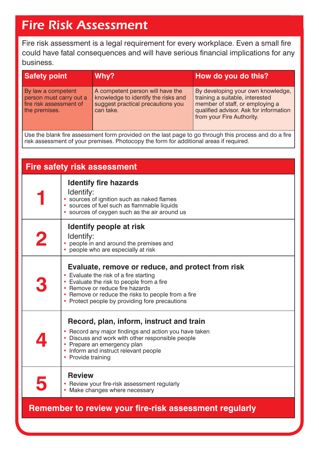#### *Fire Risk Assessment*

Fire risk assessment is a legal requirement for every workplace. Even a small fire could have fatal consequences and will have serious financial implications for any business.

| <b>Safety point</b>                                                                       | Why?                                                                                                                      | How do you do this?                                                                                                                                                            |
|-------------------------------------------------------------------------------------------|---------------------------------------------------------------------------------------------------------------------------|--------------------------------------------------------------------------------------------------------------------------------------------------------------------------------|
| By law a competent<br>person must carry out a<br>fire risk assessment of<br>the premises. | A competent person will have the<br>knowledge to identify the risks and<br>suggest practical precautions you<br>can take. | By developing your own knowledge,<br>training a suitable, interested<br>member of staff, or employing a<br>qualified advisor. Ask for information<br>from your Fire Authority. |

Use the blank fire assessment form provided on the last page to go through this process and do a fire risk assessment of your premises. Photocopy the form for additional areas if required.

| <b>Fire safety risk assessment</b>                     |                                                                                                                                                                                                                                                                                     |  |
|--------------------------------------------------------|-------------------------------------------------------------------------------------------------------------------------------------------------------------------------------------------------------------------------------------------------------------------------------------|--|
|                                                        | <b>Identify fire hazards</b><br>Identify:<br>· sources of ignition such as naked flames<br>· sources of fuel such as flammable liquids<br>• sources of oxygen such as the air around us                                                                                             |  |
| 2                                                      | <b>Identify people at risk</b><br>Identify:<br>• people in and around the premises and<br>• people who are especially at risk                                                                                                                                                       |  |
|                                                        | Evaluate, remove or reduce, and protect from risk<br>• Evaluate the risk of a fire starting<br>• Evaluate the risk to people from a fire<br>• Remove or reduce fire hazards<br>• Remove or reduce the risks to people from a fire<br>• Protect people by providing fore precautions |  |
|                                                        | Record, plan, inform, instruct and train<br>• Record any major findings and action you have taken<br>• Discuss and work with other responsible people<br>• Prepare an emergency plan<br>• Inform and instruct relevant people<br>• Provide training                                 |  |
|                                                        | <b>Review</b><br>• Review your fire-risk assessment regularly<br>• Make changes where necessary                                                                                                                                                                                     |  |
| Remember to review your fire-risk assessment regularly |                                                                                                                                                                                                                                                                                     |  |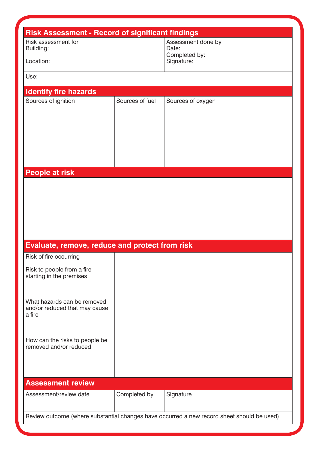| <b>Risk Assessment - Record of significant findings</b><br>Risk assessment for<br>Building:<br>Location: |                 | Assessment done by<br>Date:<br>Completed by:<br>Signature:                                 |  |
|----------------------------------------------------------------------------------------------------------|-----------------|--------------------------------------------------------------------------------------------|--|
| Use:                                                                                                     |                 |                                                                                            |  |
| <b>Identify fire hazards</b>                                                                             |                 |                                                                                            |  |
| Sources of ignition                                                                                      | Sources of fuel | Sources of oxygen                                                                          |  |
|                                                                                                          |                 |                                                                                            |  |
|                                                                                                          |                 |                                                                                            |  |
|                                                                                                          |                 |                                                                                            |  |
|                                                                                                          |                 |                                                                                            |  |
|                                                                                                          |                 |                                                                                            |  |
|                                                                                                          |                 |                                                                                            |  |
| <b>People at risk</b>                                                                                    |                 |                                                                                            |  |
|                                                                                                          |                 |                                                                                            |  |
|                                                                                                          |                 |                                                                                            |  |
|                                                                                                          |                 |                                                                                            |  |
|                                                                                                          |                 |                                                                                            |  |
|                                                                                                          |                 |                                                                                            |  |
| Evaluate, remove, reduce and protect from risk                                                           |                 |                                                                                            |  |
| Risk of fire occurring                                                                                   |                 |                                                                                            |  |
| Risk to people from a fire                                                                               |                 |                                                                                            |  |
| starting in the premises                                                                                 |                 |                                                                                            |  |
|                                                                                                          |                 |                                                                                            |  |
| What hazards can be removed                                                                              |                 |                                                                                            |  |
| and/or reduced that may cause<br>a fire                                                                  |                 |                                                                                            |  |
|                                                                                                          |                 |                                                                                            |  |
|                                                                                                          |                 |                                                                                            |  |
| How can the risks to people be<br>removed and/or reduced                                                 |                 |                                                                                            |  |
|                                                                                                          |                 |                                                                                            |  |
|                                                                                                          |                 |                                                                                            |  |
|                                                                                                          |                 |                                                                                            |  |
| <b>Assessment review</b>                                                                                 |                 |                                                                                            |  |
| Assessment/review date                                                                                   | Completed by    | Signature                                                                                  |  |
|                                                                                                          |                 |                                                                                            |  |
|                                                                                                          |                 | Review outcome (where substantial changes have occurred a new record sheet should be used) |  |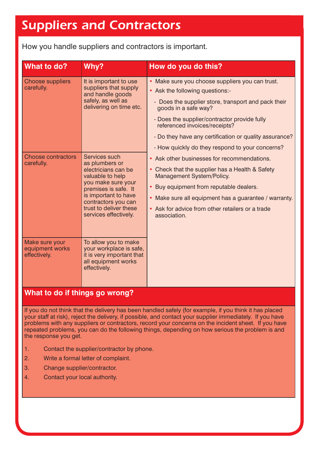#### *Suppliers and Contractors*

How you handle suppliers and contractors is important.

| What to do?                                                        | Why?                                                                                                                                                                                                      | How do you do this?                                                                                                                                                                                                                                                                                                                                             |
|--------------------------------------------------------------------|-----------------------------------------------------------------------------------------------------------------------------------------------------------------------------------------------------------|-----------------------------------------------------------------------------------------------------------------------------------------------------------------------------------------------------------------------------------------------------------------------------------------------------------------------------------------------------------------|
| <b>Choose suppliers</b><br>carefully.<br><b>Choose contractors</b> | It is important to use<br>suppliers that supply<br>and handle goods<br>safely, as well as<br>delivering on time etc.<br>Services such                                                                     | • Make sure you choose suppliers you can trust.<br>• Ask the following questions:-<br>- Does the supplier store, transport and pack their<br>goods in a safe way?<br>- Does the supplier/contractor provide fully<br>referenced invoices/receipts?<br>- Do they have any certification or quality assurance?<br>- How quickly do they respond to your concerns? |
| carefully.                                                         | as plumbers or<br>electricians can be<br>valuable to help<br>you make sure your<br>premises is safe. It<br>is important to have<br>contractors you can<br>trust to deliver these<br>services effectively. | • Ask other businesses for recommendations.<br>• Check that the supplier has a Health & Safety<br>Management System/Policy.<br>• Buy equipment from reputable dealers.<br>• Make sure all equipment has a guarantee / warranty.<br>• Ask for advice from other retailers or a trade<br>association.                                                             |
| Make sure your<br>equipment works<br>effectively.                  | To allow you to make<br>your workplace is safe,<br>it is very important that<br>all equipment works<br>effectively.                                                                                       |                                                                                                                                                                                                                                                                                                                                                                 |

#### **What to do if things go wrong?**

If you do not think that the delivery has been handled safely (for example, if you think it has placed your staff at risk), reject the delivery, if possible, and contact your supplier immediately. If you have problems with any suppliers or contractors, record your concerns on the incident sheet. If you have repeated problems, you can do the following things, depending on how serious the problem is and the response you get.

- 1. Contact the supplier/contractor by phone.
- 2. Write a formal letter of complaint.
- 3. Change supplier/contractor.
- 4. Contact your local authority.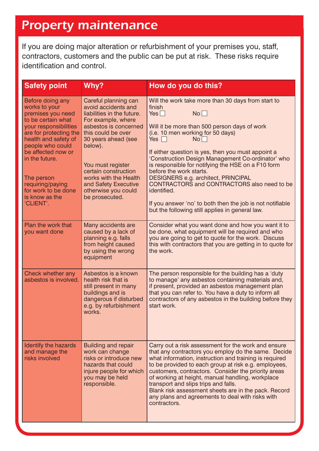#### *Property maintenance*

If you are doing major alteration or refurbishment of your premises you, staff, contractors, customers and the public can be put at risk. These risks require identification and control.

| <b>Safety point</b>                                                                                                                                                                                                                                                                                         | Why?                                                                                                                                                                                                                                                                                                                    | How do you do this?                                                                                                                                                                                                                                                                                                                                                                                                                                                                                                                                                                                                                  |
|-------------------------------------------------------------------------------------------------------------------------------------------------------------------------------------------------------------------------------------------------------------------------------------------------------------|-------------------------------------------------------------------------------------------------------------------------------------------------------------------------------------------------------------------------------------------------------------------------------------------------------------------------|--------------------------------------------------------------------------------------------------------------------------------------------------------------------------------------------------------------------------------------------------------------------------------------------------------------------------------------------------------------------------------------------------------------------------------------------------------------------------------------------------------------------------------------------------------------------------------------------------------------------------------------|
| Before doing any<br>works to your<br>premises you need<br>to be certain what<br>your responsibilities<br>are for protecting the<br>health and safety of<br>people who could<br>be affected now or<br>in the future.<br>The person<br>requiring/paying<br>for work to be done<br>is know as the<br>'CLIENT'. | Careful planning can<br>avoid accidents and<br>liabilities in the future.<br>For example, where<br>asbestos is concerned<br>this could be over<br>30 years ahead (see<br>below).<br>You must register<br>certain construction<br>works with the Health<br>and Safety Executive<br>otherwise you could<br>be prosecuted. | Will the work take more than 30 days from start to<br>finish<br>Yes $\Box$<br>No <sub>1</sub><br>Will it be more than 500 person days of work<br>(i.e. 10 men working for 50 days)<br>Yes $\Box$<br>No <sub>1</sub><br>If either question is yes, then you must appoint a<br>'Construction Design Management Co-ordinator' who<br>is responsible for notifying the HSE on a F10 form<br>before the work starts.<br>DESIGNERS e.g. architect, PRINCIPAL<br>CONTRACTORS and CONTRACTORS also need to be<br>identified.<br>If you answer 'no' to both then the job is not notifiable<br>but the following still applies in general law. |
| Plan the work that<br>you want done                                                                                                                                                                                                                                                                         | Many accidents are<br>caused by a lack of<br>planning e.g. falls<br>from height caused<br>by using the wrong<br>equipment                                                                                                                                                                                               | Consider what you want done and how you want it to<br>be done, what equipment will be required and who<br>you are going to get to quote for the work. Discuss<br>this with contractors that you are getting in to quote for<br>the work.                                                                                                                                                                                                                                                                                                                                                                                             |
| Check whether any<br>asbestos is involved.                                                                                                                                                                                                                                                                  | Asbestos is a known<br>health risk that is<br>still present in many<br>buildings and is<br>dangerous if disturbed<br>e.g. by refurbishment<br>works.                                                                                                                                                                    | The person responsible for the building has a 'duty<br>to manage' any asbestos containing materials and,<br>if present, provided an asbestos management plan<br>that you can refer to. You have a duty to inform all<br>contractors of any asbestos in the building before they<br>start work.                                                                                                                                                                                                                                                                                                                                       |
| Identify the hazards<br>and manage the<br>risks involved                                                                                                                                                                                                                                                    | <b>Building and repair</b><br>work can change<br>risks or introduce new<br>hazards that could<br>injure people for which<br>you may be held<br>responsible.                                                                                                                                                             | Carry out a risk assessment for the work and ensure<br>that any contractors you employ do the same. Decide<br>what information, instruction and training is required<br>to be provided to each group at risk e.g. employees,<br>customers, contractors. Consider the priority areas<br>of working at height, manual handling, workplace<br>transport and slips trips and falls.<br>Blank risk assessment sheets are in the pack. Record<br>any plans and agreements to deal with risks with<br>contractors.                                                                                                                          |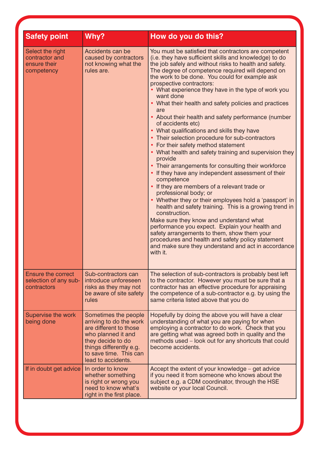| <b>Safety point</b>                                               | Why?                                                                                                                                                                                            | How do you do this?                                                                                                                                                                                                                                                                                                                                                                                                                                                                                                                                                                                                                                                                                                                                                                                                                                                                                                                                                                                                                                                                                                                                                                                                                                                                                                                                   |
|-------------------------------------------------------------------|-------------------------------------------------------------------------------------------------------------------------------------------------------------------------------------------------|-------------------------------------------------------------------------------------------------------------------------------------------------------------------------------------------------------------------------------------------------------------------------------------------------------------------------------------------------------------------------------------------------------------------------------------------------------------------------------------------------------------------------------------------------------------------------------------------------------------------------------------------------------------------------------------------------------------------------------------------------------------------------------------------------------------------------------------------------------------------------------------------------------------------------------------------------------------------------------------------------------------------------------------------------------------------------------------------------------------------------------------------------------------------------------------------------------------------------------------------------------------------------------------------------------------------------------------------------------|
| Select the right<br>contractor and<br>ensure their<br>competency  | Accidents can be<br>caused by contractors<br>not knowing what the<br>rules are.                                                                                                                 | You must be satisfied that contractors are competent<br>(i.e. they have sufficient skills and knowledge) to do<br>the job safely and without risks to health and safety.<br>The degree of competence required will depend on<br>the work to be done. You could for example ask<br>prospective contractors:<br>• What experience they have in the type of work you<br>want done<br>• What their health and safety policies and practices<br>are<br>• About their health and safety performance (number<br>of accidents etc)<br>• What qualifications and skills they have<br>• Their selection procedure for sub-contractors<br>• For their safety method statement<br>• What health and safety training and supervision they<br>provide<br>• Their arrangements for consulting their workforce<br>• If they have any independent assessment of their<br>competence<br>• If they are members of a relevant trade or<br>professional body; or<br>• Whether they or their employees hold a 'passport' in<br>health and safety training. This is a growing trend in<br>construction.<br>Make sure they know and understand what<br>performance you expect. Explain your health and<br>safety arrangements to them, show them your<br>procedures and health and safety policy statement<br>and make sure they understand and act in accordance<br>with it. |
| <b>Ensure the correct</b><br>selection of any sub-<br>contractors | Sub-contractors can<br>introduce unforeseen<br>risks as they may not<br>be aware of site safety<br>rules                                                                                        | The selection of sub-contractors is probably best left<br>to the contractor. However you must be sure that a<br>contractor has an effective procedure for appraising<br>the competence of a sub-contractor e.g. by using the<br>same criteria listed above that you do                                                                                                                                                                                                                                                                                                                                                                                                                                                                                                                                                                                                                                                                                                                                                                                                                                                                                                                                                                                                                                                                                |
| Supervise the work<br>being done                                  | Sometimes the people<br>arriving to do the work<br>are different to those<br>who planned it and<br>they decide to do<br>things differently e.g.<br>to save time. This can<br>lead to accidents. | Hopefully by doing the above you will have a clear<br>understanding of what you are paying for when<br>employing a contractor to do work. Check that you<br>are getting what was agreed both in quality and the<br>methods used – look out for any shortcuts that could<br>become accidents.                                                                                                                                                                                                                                                                                                                                                                                                                                                                                                                                                                                                                                                                                                                                                                                                                                                                                                                                                                                                                                                          |
| If in doubt get advice                                            | In order to know<br>whether something<br>is right or wrong you<br>need to know what's<br>right in the first place.                                                                              | Accept the extent of your knowledge – get advice<br>if you need it from someone who knows about the<br>subject e.g. a CDM coordinator, through the HSE<br>website or your local Council.                                                                                                                                                                                                                                                                                                                                                                                                                                                                                                                                                                                                                                                                                                                                                                                                                                                                                                                                                                                                                                                                                                                                                              |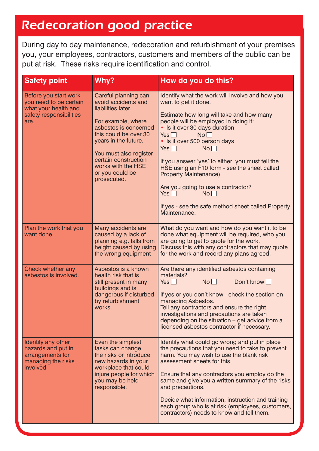#### *Redecoration good practice*

During day to day maintenance, redecoration and refurbishment of your premises you, your employees, contractors, customers and members of the public can be put at risk. These risks require identification and control.

| <b>Safety point</b>                                                                                        | Why?                                                                                                                                                                                                                                                                        | How do you do this?                                                                                                                                                                                                                                                                                                                                                                                                                                                                                                                                                            |
|------------------------------------------------------------------------------------------------------------|-----------------------------------------------------------------------------------------------------------------------------------------------------------------------------------------------------------------------------------------------------------------------------|--------------------------------------------------------------------------------------------------------------------------------------------------------------------------------------------------------------------------------------------------------------------------------------------------------------------------------------------------------------------------------------------------------------------------------------------------------------------------------------------------------------------------------------------------------------------------------|
| Before you start work<br>you need to be certain<br>what your health and<br>safety responsibilities<br>are. | Careful planning can<br>avoid accidents and<br>liabilities later.<br>For example, where<br>asbestos is concerned<br>this could be over 30<br>years in the future.<br>You must also register<br>certain construction<br>works with the HSE<br>or you could be<br>prosecuted. | Identify what the work will involve and how you<br>want to get it done.<br>Estimate how long will take and how many<br>people will be employed in doing it:<br>• Is it over 30 days duration<br>Yes $\Box$<br>No <sub>1</sub><br>• Is it over 500 person days<br>Yes $\Box$<br>No <sub>1</sub><br>If you answer 'yes' to either you must tell the<br>HSE using an F10 form - see the sheet called<br><b>Property Maintenance)</b><br>Are you going to use a contractor?<br>Yes $\Box$<br>No <sub>1</sub><br>If yes - see the safe method sheet called Property<br>Maintenance. |
| Plan the work that you<br>want done                                                                        | Many accidents are<br>caused by a lack of<br>planning e.g. falls from<br>height caused by using<br>the wrong equipment                                                                                                                                                      | What do you want and how do you want it to be<br>done what equipment will be required, who you<br>are going to get to quote for the work.<br>Discuss this with any contractors that may quote<br>for the work and record any plans agreed.                                                                                                                                                                                                                                                                                                                                     |
| Check whether any<br>asbestos is involved.                                                                 | Asbestos is a known<br>health risk that is<br>still present in many<br>buildings and is<br>dangerous if disturbed<br>by refurbishment<br>works.                                                                                                                             | Are there any identified asbestos containing<br>materials?<br>Don't know<br>No <sub>1</sub><br>Yes<br>If yes or you don't know - check the section on<br>managing Asbestos.<br>Tell any contractors and ensure the right<br>investigations and precautions are taken<br>depending on the situation – get advice from a<br>licensed asbestos contractor if necessary.                                                                                                                                                                                                           |
| Identify any other<br>hazards and put in<br>arrangements for<br>managing the risks<br>involved             | Even the simplest<br>tasks can change<br>the risks or introduce<br>new hazards in your<br>workplace that could<br>injure people for which<br>you may be held<br>responsible.                                                                                                | Identify what could go wrong and put in place<br>the precautions that you need to take to prevent<br>harm. You may wish to use the blank risk<br>assessment sheets for this.<br>Ensure that any contractors you employ do the<br>same and give you a written summary of the risks<br>and precautions.<br>Decide what information, instruction and training<br>each group who is at risk (employees, customers,<br>contractors) needs to know and tell them.                                                                                                                    |